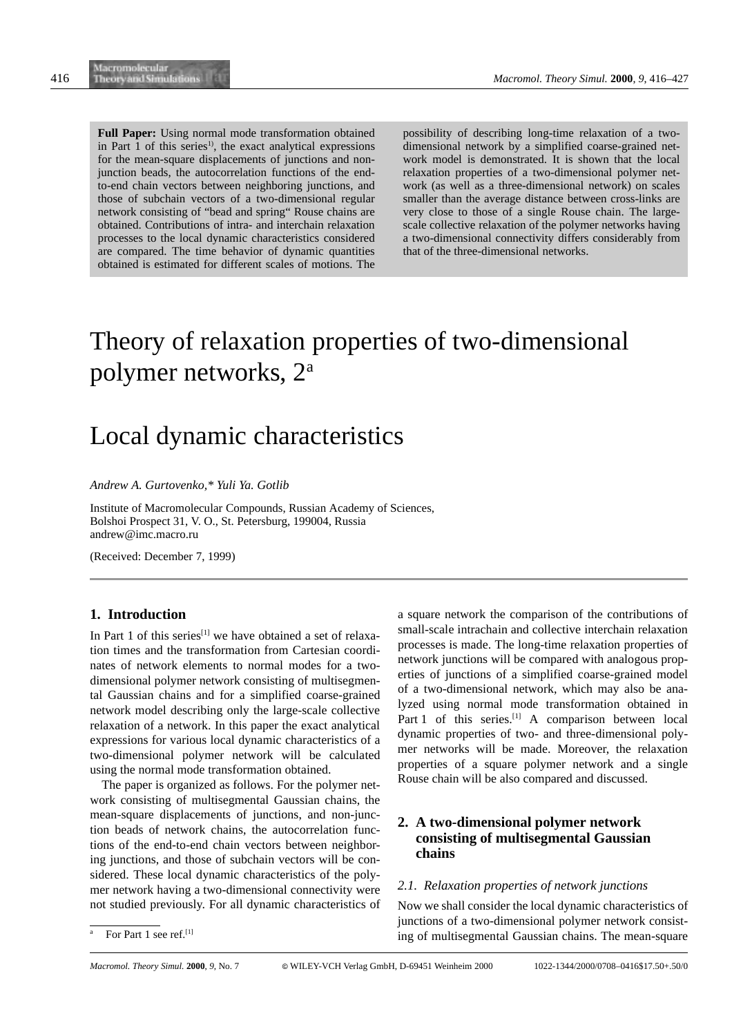**Full Paper:** Using normal mode transformation obtained in Part  $\overline{1}$  of this series<sup>1</sup>, the exact analytical expressions for the mean-square displacements of junctions and nonjunction beads, the autocorrelation functions of the endto-end chain vectors between neighboring junctions, and those of subchain vectors of a two-dimensional regular network consisting of "bead and spring" Rouse chains are obtained. Contributions of intra- and interchain relaxation processes to the local dynamic characteristics considered are compared. The time behavior of dynamic quantities obtained is estimated for different scales of motions. The possibility of describing long-time relaxation of a twodimensional network by a simplified coarse-grained network model is demonstrated. It is shown that the local relaxation properties of a two-dimensional polymer network (as well as a three-dimensional network) on scales smaller than the average distance between cross-links are very close to those of a single Rouse chain. The largescale collective relaxation of the polymer networks having a two-dimensional connectivity differs considerably from that of the three-dimensional networks.

# Theory of relaxation properties of two-dimensional polymer networks, 2a

# Local dynamic characteristics

*Andrew A. Gurtovenko,\* Yuli Ya. Gotlib*

Institute of Macromolecular Compounds, Russian Academy of Sciences, Bolshoi Prospect 31, V. O., St. Petersburg, 199004, Russia andrew@imc.macro.ru

(Received: December 7, 1999)

# **1. Introduction**

In Part 1 of this series<sup>[1]</sup> we have obtained a set of relaxation times and the transformation from Cartesian coordinates of network elements to normal modes for a twodimensional polymer network consisting of multisegmental Gaussian chains and for a simplified coarse-grained network model describing only the large-scale collective relaxation of a network. In this paper the exact analytical expressions for various local dynamic characteristics of a two-dimensional polymer network will be calculated using the normal mode transformation obtained.

The paper is organized as follows. For the polymer network consisting of multisegmental Gaussian chains, the mean-square displacements of junctions, and non-junction beads of network chains, the autocorrelation functions of the end-to-end chain vectors between neighboring junctions, and those of subchain vectors will be considered. These local dynamic characteristics of the polymer network having a two-dimensional connectivity were not studied previously. For all dynamic characteristics of a square network the comparison of the contributions of small-scale intrachain and collective interchain relaxation processes is made. The long-time relaxation properties of network junctions will be compared with analogous properties of junctions of a simplified coarse-grained model of a two-dimensional network, which may also be analyzed using normal mode transformation obtained in Part 1 of this series.<sup>[1]</sup> A comparison between local dynamic properties of two- and three-dimensional polymer networks will be made. Moreover, the relaxation properties of a square polymer network and a single Rouse chain will be also compared and discussed.

# **2. A two-dimensional polymer network consisting of multisegmental Gaussian chains**

#### *2.1. Relaxation properties of network junctions*

Now we shall consider the local dynamic characteristics of junctions of a two-dimensional polymer network consisting of multisegmental Gaussian chains. The mean-square

For Part 1 see ref.<sup>[1]</sup>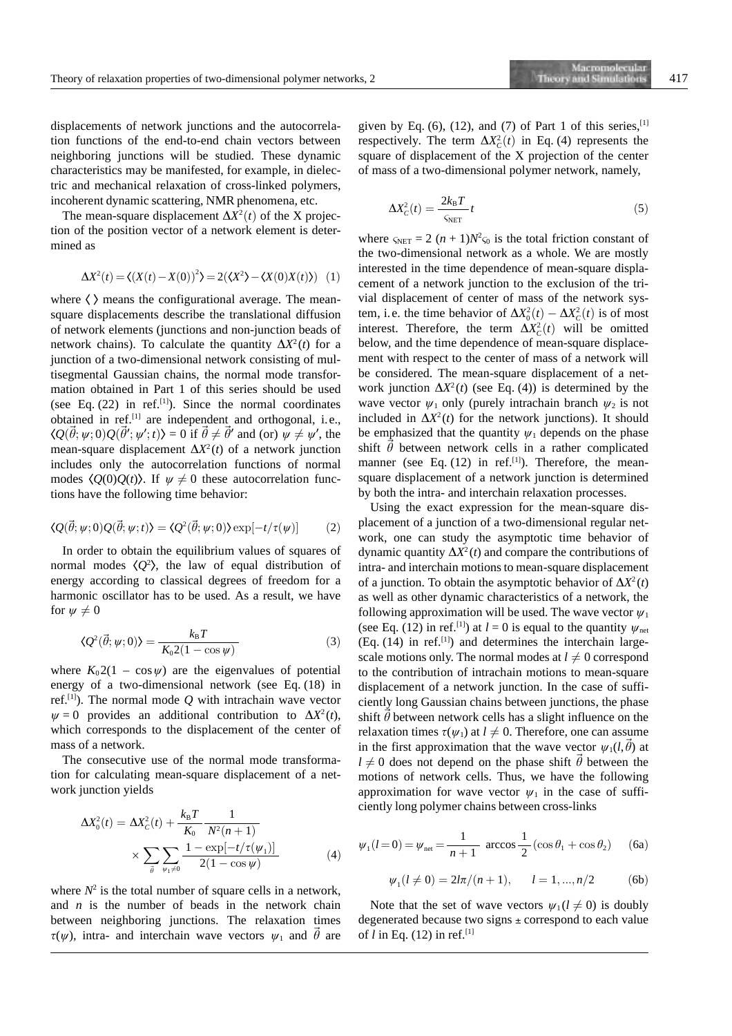displacements of network junctions and the autocorrelation functions of the end-to-end chain vectors between neighboring junctions will be studied. These dynamic characteristics may be manifested, for example, in dielectric and mechanical relaxation of cross-linked polymers, incoherent dynamic scattering, NMR phenomena, etc.

The mean-square displacement  $\Delta X^2(t)$  of the X projection of the position vector of a network element is determined as

$$
\Delta X^{2}(t) = \langle (X(t) - X(0))^{2} \rangle = 2(\langle X^{2} \rangle - \langle X(0)X(t) \rangle) \quad (1)
$$

where  $\langle \rangle$  means the configurational average. The meansquare displacements describe the translational diffusion of network elements (junctions and non-junction beads of network chains). To calculate the quantity  $\Delta X^2(t)$  for a junction of a two-dimensional network consisting of multisegmental Gaussian chains, the normal mode transformation obtained in Part 1 of this series should be used (see Eq.  $(22)$  in ref.<sup>[1]</sup>). Since the normal coordinates obtained in ref.[1] are independent and orthogonal, i.e.,  $\langle Q(\vec{\theta}; \psi; 0)Q(\vec{\theta}'; \psi'; t) \rangle = 0$  if  $\vec{\theta} \neq \vec{\theta}'$  and (or)  $\psi \neq \psi'$ , the mean-square displacement  $\Delta X^2(t)$  of a network junction includes only the autocorrelation functions of normal modes  $\langle O(0)O(t)\rangle$ . If  $\psi \neq 0$  these autocorrelation functions have the following time behavior:

$$
\langle Q(\vec{\theta}; \psi; 0) Q(\vec{\theta}; \psi; t) \rangle = \langle Q^2(\vec{\theta}; \psi; 0) \rangle \exp[-t/\tau(\psi)] \tag{2}
$$

In order to obtain the equilibrium values of squares of normal modes  $\langle Q^2 \rangle$ , the law of equal distribution of energy according to classical degrees of freedom for a harmonic oscillator has to be used. As a result, we have for  $\psi \neq 0$ 

$$
\langle Q^2(\vec{\theta}; \psi; 0) \rangle = \frac{k_B T}{K_0 2(1 - \cos \psi)} \tag{3}
$$

where  $K_0 2(1 - \cos \psi)$  are the eigenvalues of potential energy of a two-dimensional network (see Eq. (18) in ref.[1]). The normal mode *Q* with intrachain wave vector  $\psi = 0$  provides an additional contribution to  $\Delta X^2(t)$ , which corresponds to the displacement of the center of mass of a network.

The consecutive use of the normal mode transformation for calculating mean-square displacement of a network junction yields

$$
\Delta X_0^2(t) = \Delta X_C^2(t) + \frac{k_B T}{K_0} \frac{1}{N^2(n+1)} \times \sum_{\vec{\theta}} \sum_{\psi_1 \neq 0} \frac{1 - \exp[-t/\tau(\psi_1)]}{2(1 - \cos \psi)} \tag{4}
$$

where  $N^2$  is the total number of square cells in a network, and *n* is the number of beads in the network chain between neighboring junctions. The relaxation times  $\tau(\psi)$ , intra- and interchain wave vectors  $\psi_1$  and  $\dot{\theta}$  are

given by Eq. (6), (12), and (7) of Part 1 of this series,  $[1]$ respectively. The term  $\Delta X_c^2(t)$  in Eq. (4) represents the square of displacement of the X projection of the center of mass of a two-dimensional polymer network, namely,

$$
\Delta X_C^2(t) = \frac{2k_\text{B}T}{\varsigma_{\text{NET}}}t\tag{5}
$$

where  $\varsigma_{\text{NET}} = 2 (n + 1)N^2 \varsigma_0$  is the total friction constant of the two-dimensional network as a whole. We are mostly interested in the time dependence of mean-square displacement of a network junction to the exclusion of the trivial displacement of center of mass of the network system, i.e. the time behavior of  $\Delta X_0^2(t) - \Delta X_C^2(t)$  is of most interest. Therefore, the term  $\Delta X_c^2(t)$  will be omitted below, and the time dependence of mean-square displacement with respect to the center of mass of a network will be considered. The mean-square displacement of a network junction  $\Delta X^2(t)$  (see Eq. (4)) is determined by the wave vector  $\psi_1$  only (purely intrachain branch  $\psi_2$  is not included in  $\Delta X^2(t)$  for the network junctions). It should be emphasized that the quantity  $\psi_1$  depends on the phase shift  $\hat{\theta}$  between network cells in a rather complicated manner (see Eq.  $(12)$  in ref.<sup>[1]</sup>). Therefore, the meansquare displacement of a network junction is determined by both the intra- and interchain relaxation processes.

Using the exact expression for the mean-square displacement of a junction of a two-dimensional regular network, one can study the asymptotic time behavior of dynamic quantity  $\Delta X^2(t)$  and compare the contributions of intra- and interchain motions to mean-square displacement of a junction. To obtain the asymptotic behavior of  $\Delta X^2(t)$ as well as other dynamic characteristics of a network, the following approximation will be used. The wave vector  $\psi_1$ (see Eq. (12) in ref.<sup>[1]</sup>) at  $l = 0$  is equal to the quantity  $\psi_{net}$  $(Eq. (14)$  in ref.<sup>[1]</sup>) and determines the interchain largescale motions only. The normal modes at  $l \neq 0$  correspond to the contribution of intrachain motions to mean-square displacement of a network junction. In the case of sufficiently long Gaussian chains between junctions, the phase shift  $\hat{\theta}$  between network cells has a slight influence on the relaxation times  $\tau(\psi_1)$  at  $l \neq 0$ . Therefore, one can assume in the first approximation that the wave vector  $\psi_1(l, \vec{\theta})$  at  $l \neq 0$  does not depend on the phase shift  $\vec{\theta}$  between the motions of network cells. Thus, we have the following approximation for wave vector  $\psi_1$  in the case of sufficiently long polymer chains between cross-links

$$
\psi_1(l=0) = \psi_{net} = \frac{1}{n+1} \arccos \frac{1}{2} (\cos \theta_1 + \cos \theta_2)
$$
 (6a)

$$
\psi_1(l \neq 0) = 2l\pi/(n+1), \qquad l = 1, ..., n/2
$$
 (6b)

Note that the set of wave vectors  $\psi_1 (l \neq 0)$  is doubly degenerated because two signs  $\pm$  correspond to each value of *l* in Eq. (12) in ref.[1]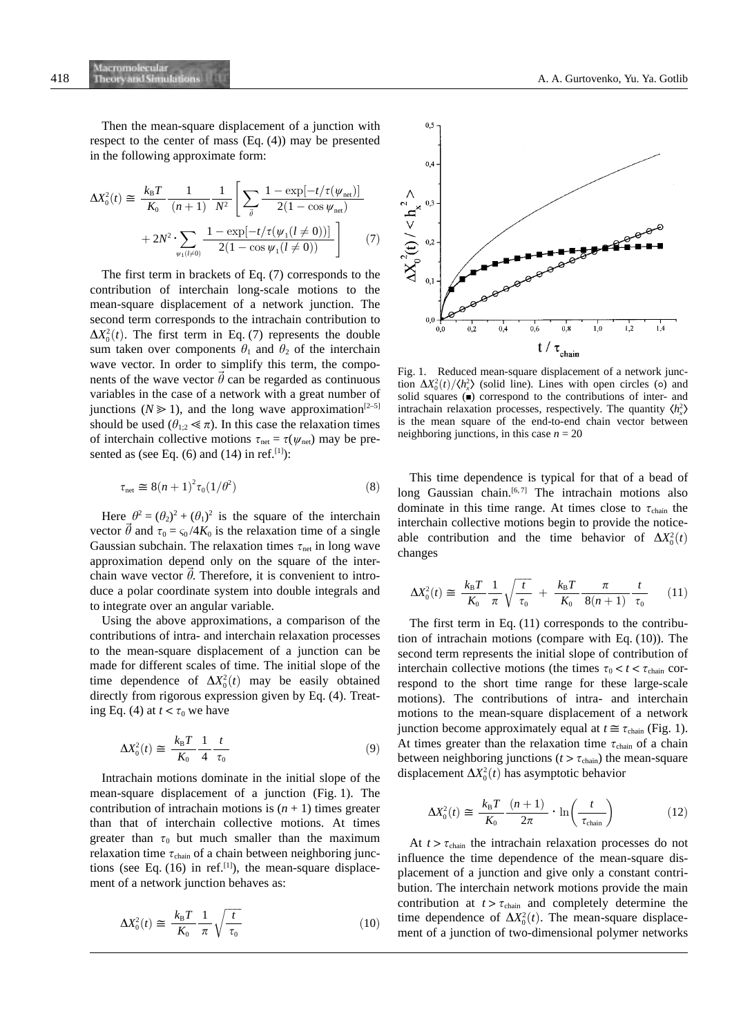Then the mean-square displacement of a junction with respect to the center of mass (Eq. (4)) may be presented in the following approximate form:

$$
\Delta X_0^2(t) \approx \frac{k_{\rm B}T}{K_0} \frac{1}{(n+1)} \frac{1}{N^2} \left[ \sum_{\vec{\theta}} \frac{1 - \exp[-t/\tau(\psi_{\rm net})]}{2(1 - \cos \psi_{\rm net})} + 2N^2 \cdot \sum_{\psi_1(l \neq 0)} \frac{1 - \exp[-t/\tau(\psi_1(l \neq 0))]}{2(1 - \cos \psi_1(l \neq 0))} \right]
$$
(7)

The first term in brackets of Eq. (7) corresponds to the contribution of interchain long-scale motions to the mean-square displacement of a network junction. The second term corresponds to the intrachain contribution to  $\Delta X_0^2(t)$ . The first term in Eq. (7) represents the double sum taken over components  $\theta_1$  and  $\theta_2$  of the interchain wave vector. In order to simplify this term, the components of the wave vector  $\hat{\theta}$  can be regarded as continuous variables in the case of a network with a great number of junctions ( $N \ge 1$ ), and the long wave approximation<sup>[2–5]</sup> should be used  $(\theta_{1:2} \ll \pi)$ . In this case the relaxation times of interchain collective motions  $\tau_{net} = \tau(\psi_{net})$  may be presented as (see Eq.  $(6)$  and  $(14)$  in ref.<sup>[1]</sup>):

$$
\tau_{\text{net}} \cong 8(n+1)^2 \tau_0(1/\theta^2) \tag{8}
$$

Here  $\theta^2 = (\theta_2)^2 + (\theta_1)^2$  is the square of the interchain vector  $\vec{\theta}$  and  $\tau_0 = \zeta_0 / 4K_0$  is the relaxation time of a single Gaussian subchain. The relaxation times  $\tau_{net}$  in long wave approximation depend only on the square of the interchain wave vector  $\theta$ . Therefore, it is convenient to introduce a polar coordinate system into double integrals and to integrate over an angular variable.

Using the above approximations, a comparison of the contributions of intra- and interchain relaxation processes to the mean-square displacement of a junction can be made for different scales of time. The initial slope of the time dependence of  $\Delta X_0^2(t)$  may be easily obtained directly from rigorous expression given by Eq. (4). Treating Eq. (4) at  $t < \tau_0$  we have

$$
\Delta X_0^2(t) \cong \frac{k_{\rm B}T}{K_0} \frac{1}{4} \frac{t}{\tau_0} \tag{9}
$$

Intrachain motions dominate in the initial slope of the mean-square displacement of a junction (Fig. 1). The contribution of intrachain motions is  $(n + 1)$  times greater than that of interchain collective motions. At times greater than  $\tau_0$  but much smaller than the maximum relaxation time  $\tau_{chain}$  of a chain between neighboring junctions (see Eq.  $(16)$  in ref.<sup>[1]</sup>), the mean-square displacement of a network junction behaves as:

$$
\Delta X_0^2(t) \cong \frac{k_{\rm B}T}{K_0} \frac{1}{\pi} \sqrt{\frac{t}{\tau_0}}
$$
\n(10)



Fig. 1. Reduced mean-square displacement of a network junction  $\Delta X_0^2(t)/\langle h_x^2 \rangle$  (solid line). Lines with open circles (0) and solid squares  $(\bullet)$  correspond to the contributions of inter- and intrachain relaxation processes, respectively. The quantity  $\langle h_x^2 \rangle$ is the mean square of the end-to-end chain vector between neighboring junctions, in this case  $n = 20$ 

This time dependence is typical for that of a bead of long Gaussian chain.<sup>[6,7]</sup> The intrachain motions also dominate in this time range. At times close to  $\tau_{\text{chain}}$  the interchain collective motions begin to provide the noticeable contribution and the time behavior of  $\Delta X_0^2(t)$ changes

$$
\Delta X_0^2(t) \cong \frac{k_{\rm B}T}{K_0} \frac{1}{\pi} \sqrt{\frac{t}{\tau_0}} + \frac{k_{\rm B}T}{K_0} \frac{\pi}{8(n+1)} \frac{t}{\tau_0} \tag{11}
$$

The first term in Eq. (11) corresponds to the contribution of intrachain motions (compare with Eq. (10)). The second term represents the initial slope of contribution of interchain collective motions (the times  $\tau_0 < t < \tau_{\text{chain}}$  correspond to the short time range for these large-scale motions). The contributions of intra- and interchain motions to the mean-square displacement of a network junction become approximately equal at  $t \approx \tau_{\text{chain}}$  (Fig. 1). At times greater than the relaxation time  $\tau_{chain}$  of a chain between neighboring junctions ( $t > \tau_{chain}$ ) the mean-square displacement  $\Delta X_0^2(t)$  has asymptotic behavior

$$
\Delta X_0^2(t) \cong \frac{k_{\rm B}T}{K_0} \frac{(n+1)}{2\pi} \cdot \ln\left(\frac{t}{\tau_{\rm chain}}\right) \tag{12}
$$

At  $t > \tau_{\text{chain}}$  the intrachain relaxation processes do not influence the time dependence of the mean-square displacement of a junction and give only a constant contribution. The interchain network motions provide the main contribution at  $t > \tau_{chain}$  and completely determine the time dependence of  $\Delta X_0^2(t)$ . The mean-square displacement of a junction of two-dimensional polymer networks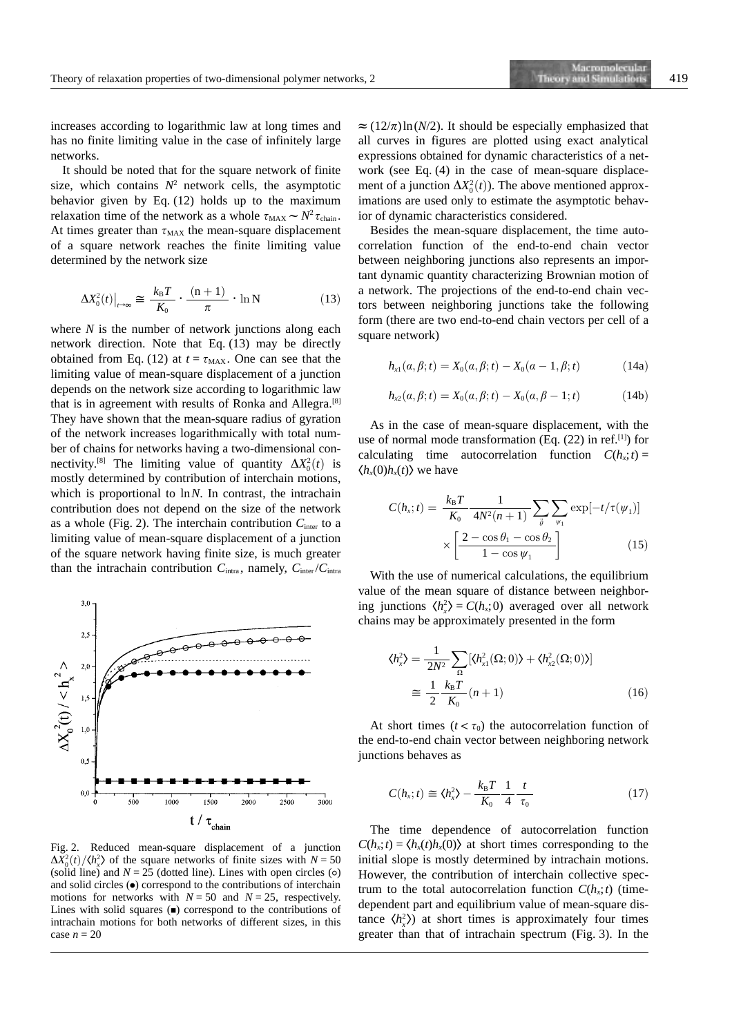increases according to logarithmic law at long times and has no finite limiting value in the case of infinitely large networks.

It should be noted that for the square network of finite size, which contains  $N^2$  network cells, the asymptotic behavior given by Eq. (12) holds up to the maximum relaxation time of the network as a whole  $\tau_{\text{MAX}} \sim N^2 \tau_{\text{chain}}$ . At times greater than  $\tau_{MAX}$  the mean-square displacement of a square network reaches the finite limiting value determined by the network size

$$
\Delta X_0^2(t)|_{t\to\infty} \cong \frac{k_{\rm B}T}{K_0} \cdot \frac{(n+1)}{\pi} \cdot \ln N \tag{13}
$$

where *N* is the number of network junctions along each network direction. Note that Eq. (13) may be directly obtained from Eq. (12) at  $t = \tau_{MAX}$ . One can see that the limiting value of mean-square displacement of a junction depends on the network size according to logarithmic law that is in agreement with results of Ronka and Allegra.[8] They have shown that the mean-square radius of gyration of the network increases logarithmically with total number of chains for networks having a two-dimensional connectivity.<sup>[8]</sup> The limiting value of quantity  $\Delta X_0^2(t)$  is mostly determined by contribution of interchain motions, which is proportional to ln*N*. In contrast, the intrachain contribution does not depend on the size of the network as a whole (Fig. 2). The interchain contribution  $C<sub>inter</sub>$  to a limiting value of mean-square displacement of a junction of the square network having finite size, is much greater than the intrachain contribution  $C_{\text{intra}}$ , namely,  $C_{\text{inter}}/C_{\text{intra}}$ 



Fig. 2. Reduced mean-square displacement of a junction  $\Delta X_0^2(t)/\langle h_x^2 \rangle$  of the square networks of finite sizes with  $N = 50$ (solid line) and  $N = 25$  (dotted line). Lines with open circles (o) and solid circles  $\left( \bullet \right)$  correspond to the contributions of interchain motions for networks with  $N = 50$  and  $N = 25$ , respectively. Lines with solid squares  $($  $\blacksquare)$  correspond to the contributions of intrachain motions for both networks of different sizes, in this case  $n = 20$ 

 $\approx (12/\pi) \ln(N/2)$ . It should be especially emphasized that all curves in figures are plotted using exact analytical expressions obtained for dynamic characteristics of a network (see Eq. (4) in the case of mean-square displacement of a junction  $\Delta X_0^2(t)$ ). The above mentioned approximations are used only to estimate the asymptotic behavior of dynamic characteristics considered.

Besides the mean-square displacement, the time autocorrelation function of the end-to-end chain vector between neighboring junctions also represents an important dynamic quantity characterizing Brownian motion of a network. The projections of the end-to-end chain vectors between neighboring junctions take the following form (there are two end-to-end chain vectors per cell of a square network)

$$
h_{x1}(a, \beta; t) = X_0(a, \beta; t) - X_0(a - 1, \beta; t)
$$
 (14a)

$$
h_{x2}(a, \beta; t) = X_0(a, \beta; t) - X_0(a, \beta - 1; t)
$$
 (14b)

As in the case of mean-square displacement, with the use of normal mode transformation (Eq. (22) in ref.[1]) for calculating time autocorrelation function  $C(h_x; t) =$  $\langle h_x(0)h_x(t)\rangle$  we have

$$
C(h_x; t) = \frac{k_B T}{K_0} \frac{1}{4N^2(n+1)} \sum_{\vec{\theta}} \sum_{\psi_1} \exp[-t/\tau(\psi_1)]
$$

$$
\times \left[ \frac{2 - \cos \theta_1 - \cos \theta_2}{1 - \cos \psi_1} \right]
$$
(15)

With the use of numerical calculations, the equilibrium value of the mean square of distance between neighboring junctions  $\langle h_x^2 \rangle = C(h_x; 0)$  averaged over all network chains may be approximately presented in the form

$$
\langle h_x^2 \rangle = \frac{1}{2N^2} \sum_{\Omega} \left[ \langle h_{x1}^2(\Omega; 0) \rangle + \langle h_{x2}^2(\Omega; 0) \rangle \right]
$$
  

$$
\approx \frac{1}{2} \frac{k_B T}{K_0} (n+1)
$$
 (16)

At short times  $(t < \tau_0)$  the autocorrelation function of the end-to-end chain vector between neighboring network junctions behaves as

$$
C(h_x;t) \cong \langle h_x^2 \rangle - \frac{k_\text{B}T}{K_0} \frac{1}{4} \frac{t}{\tau_0} \tag{17}
$$

The time dependence of autocorrelation function  $C(h_x; t) = \langle h_x(t)h_y(0) \rangle$  at short times corresponding to the initial slope is mostly determined by intrachain motions. However, the contribution of interchain collective spectrum to the total autocorrelation function  $C(h_x; t)$  (timedependent part and equilibrium value of mean-square distance  $\langle h_x^2 \rangle$  at short times is approximately four times greater than that of intrachain spectrum (Fig. 3). In the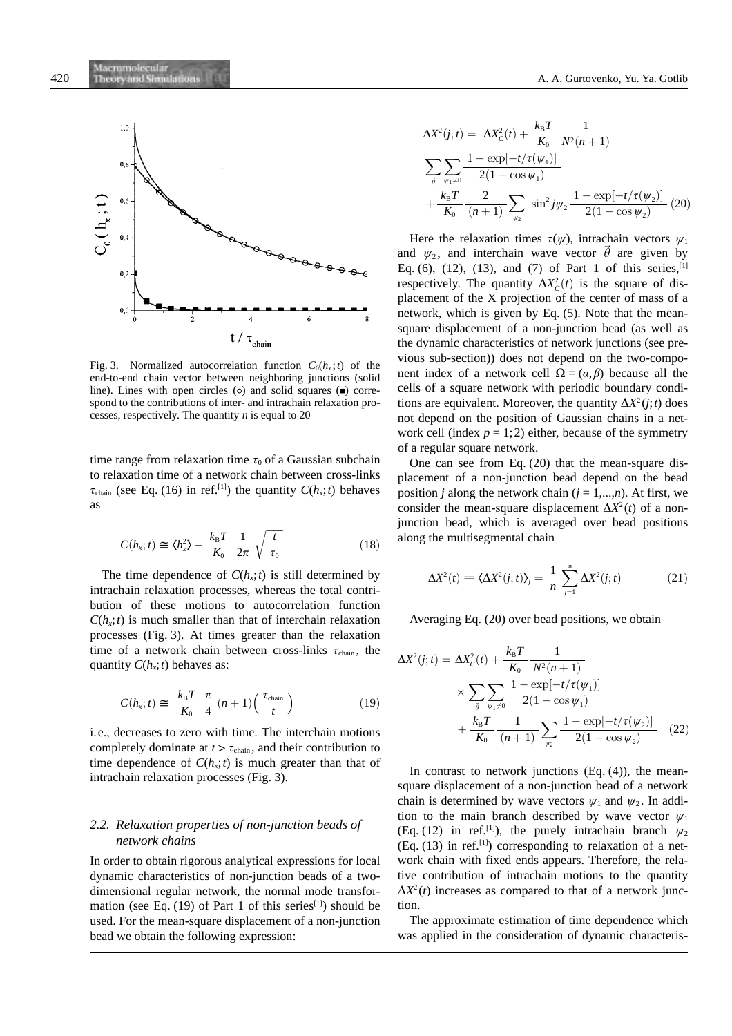

Fig. 3. Normalized autocorrelation function  $C_0(h_x; t)$  of the end-to-end chain vector between neighboring junctions (solid line). Lines with open circles ( $\circ$ ) and solid squares ( $\bullet$ ) correspond to the contributions of inter- and intrachain relaxation processes, respectively. The quantity *n* is equal to 20

time range from relaxation time  $\tau_0$  of a Gaussian subchain to relaxation time of a network chain between cross-links  $\tau_{\text{chain}}$  (see Eq. (16) in ref.<sup>[1]</sup>) the quantity  $C(h_x; t)$  behaves as

$$
C(h_x; t) \cong \langle h_x^2 \rangle - \frac{k_B T}{K_0} \frac{1}{2\pi} \sqrt{\frac{t}{\tau_0}}
$$
\n(18)

The time dependence of  $C(h_x; t)$  is still determined by intrachain relaxation processes, whereas the total contribution of these motions to autocorrelation function  $C(h<sub>x</sub>; t)$  is much smaller than that of interchain relaxation processes (Fig. 3). At times greater than the relaxation time of a network chain between cross-links  $\tau_{chain}$ , the quantity  $C(h_x; t)$  behaves as:

$$
C(h_x; t) \cong \frac{k_{\rm B}T}{K_0} \frac{\pi}{4} (n+1) \left( \frac{\tau_{\rm chain}}{t} \right)
$$
 (19)

i.e., decreases to zero with time. The interchain motions completely dominate at  $t > \tau_{chain}$ , and their contribution to time dependence of  $C(h, t)$  is much greater than that of intrachain relaxation processes (Fig. 3).

#### *2.2. Relaxation properties of non-junction beads of network chains*

In order to obtain rigorous analytical expressions for local dynamic characteristics of non-junction beads of a twodimensional regular network, the normal mode transformation (see Eq.  $(19)$  of Part 1 of this series<sup>[1]</sup>) should be used. For the mean-square displacement of a non-junction bead we obtain the following expression:

$$
\Delta X^{2}(j;t) = \Delta X_{C}^{2}(t) + \frac{k_{B}T}{K_{0}} \frac{1}{N^{2}(n+1)}
$$
  

$$
\sum_{\vec{\theta}} \sum_{\psi_{1} \neq 0} \frac{1 - \exp[-t/\tau(\psi_{1})]}{2(1 - \cos \psi_{1})}
$$
  

$$
+ \frac{k_{B}T}{K_{0}} \frac{2}{(n+1)} \sum_{\psi_{2}} \sin^{2} j\psi_{2} \frac{1 - \exp[-t/\tau(\psi_{2})]}{2(1 - \cos \psi_{2})} (20)
$$

Here the relaxation times  $\tau(\psi)$ , intrachain vectors  $\psi_1$ and  $\psi_2$ , and interchain wave vector  $\vec{\theta}$  are given by Eq. (6), (12), (13), and (7) of Part 1 of this series, [1] respectively. The quantity  $\Delta X_c^2(t)$  is the square of displacement of the X projection of the center of mass of a network, which is given by Eq. (5). Note that the meansquare displacement of a non-junction bead (as well as the dynamic characteristics of network junctions (see previous sub-section)) does not depend on the two-component index of a network cell  $\Omega = (a, \beta)$  because all the cells of a square network with periodic boundary conditions are equivalent. Moreover, the quantity  $\Delta X^2(i; t)$  does not depend on the position of Gaussian chains in a network cell (index  $p = 1, 2$ ) either, because of the symmetry of a regular square network.

One can see from Eq. (20) that the mean-square displacement of a non-junction bead depend on the bead position *j* along the network chain  $(j = 1,...,n)$ . At first, we consider the mean-square displacement  $\Delta X^2(t)$  of a nonjunction bead, which is averaged over bead positions along the multisegmental chain

$$
\Delta X^2(t) \equiv \langle \Delta X^2(j;t) \rangle_j = \frac{1}{n} \sum_{j=1}^n \Delta X^2(j;t) \tag{21}
$$

Averaging Eq. (20) over bead positions, we obtain

$$
\Delta X^{2}(j;t) = \Delta X_{C}^{2}(t) + \frac{k_{B}T}{K_{0}} \frac{1}{N^{2}(n+1)}
$$

$$
\times \sum_{\substack{\vec{\theta} \\ \vec{\theta} \\ \vec{\theta} \neq 1}} \sum_{\psi_{1} \neq 0} \frac{1 - \exp[-t/\tau(\psi_{1})]}{2(1 - \cos \psi_{1})}
$$

$$
+ \frac{k_{B}T}{K_{0}} \frac{1}{(n+1)} \sum_{\psi_{2}} \frac{1 - \exp[-t/\tau(\psi_{2})]}{2(1 - \cos \psi_{2})} (22)
$$

In contrast to network junctions  $(Eq. (4))$ , the meansquare displacement of a non-junction bead of a network chain is determined by wave vectors  $\psi_1$  and  $\psi_2$ . In addition to the main branch described by wave vector  $\psi_1$ (Eq. (12) in ref.<sup>[1]</sup>), the purely intrachain branch  $\psi_2$  $(Eq. (13)$  in ref.<sup>[1]</sup>) corresponding to relaxation of a network chain with fixed ends appears. Therefore, the relative contribution of intrachain motions to the quantity  $\Delta X^2(t)$  increases as compared to that of a network junction.

The approximate estimation of time dependence which was applied in the consideration of dynamic characteris-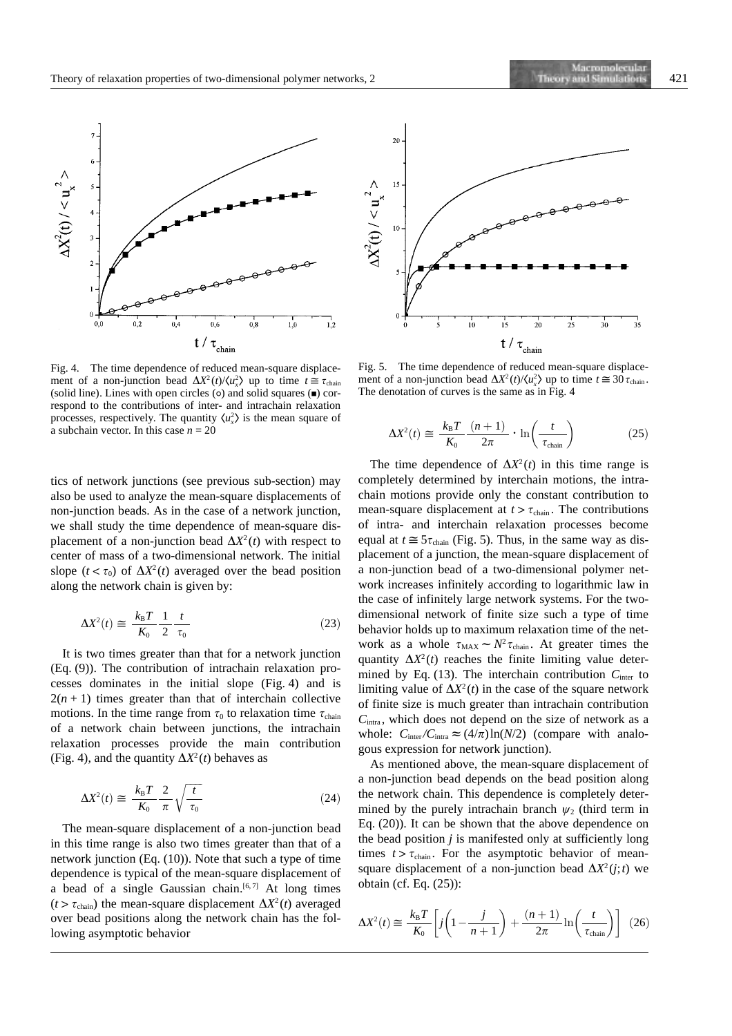

Fig. 4. The time dependence of reduced mean-square displacement of a non-junction bead  $\Delta X^2(t)/\langle u_x^2 \rangle$  up to time  $t \approx \tau_{\text{chain}}$ (solid line). Lines with open circles ( $\circ$ ) and solid squares ( $\bullet$ ) correspond to the contributions of inter- and intrachain relaxation processes, respectively. The quantity  $\langle u_x^2 \rangle$  is the mean square of a subchain vector. In this case  $n = 20$ 

tics of network junctions (see previous sub-section) may also be used to analyze the mean-square displacements of non-junction beads. As in the case of a network junction, we shall study the time dependence of mean-square displacement of a non-junction bead  $\Delta X^2(t)$  with respect to center of mass of a two-dimensional network. The initial slope  $(t < \tau_0)$  of  $\Delta X^2(t)$  averaged over the bead position along the network chain is given by:

$$
\Delta X^2(t) \cong \frac{k_{\rm B}T}{K_0} \frac{1}{2} \frac{t}{\tau_0} \tag{23}
$$

It is two times greater than that for a network junction (Eq. (9)). The contribution of intrachain relaxation processes dominates in the initial slope (Fig. 4) and is  $2(n + 1)$  times greater than that of interchain collective motions. In the time range from  $\tau_0$  to relaxation time  $\tau_{\text{chain}}$ of a network chain between junctions, the intrachain relaxation processes provide the main contribution (Fig. 4), and the quantity  $\Delta X^2(t)$  behaves as

$$
\Delta X^2(t) \cong \frac{k_{\rm B}T}{K_0} \frac{2}{\pi} \sqrt{\frac{t}{\tau_0}}
$$
\n(24)

The mean-square displacement of a non-junction bead in this time range is also two times greater than that of a network junction (Eq. (10)). Note that such a type of time dependence is typical of the mean-square displacement of a bead of a single Gaussian chain.<sup>[6,7]</sup> At long times  $(t > \tau_{chain})$  the mean-square displacement  $\Delta X^2(t)$  averaged over bead positions along the network chain has the following asymptotic behavior



Fig. 5. The time dependence of reduced mean-square displacement of a non-junction bead  $\Delta X^2(t)/\langle u_x^2 \rangle$  up to time  $t \approx 30 \tau_{\text{chain}}$ . The denotation of curves is the same as in Fig. 4

$$
\Delta X^2(t) \cong \frac{k_{\rm B}T}{K_0} \frac{(n+1)}{2\pi} \cdot \ln\left(\frac{t}{\tau_{\rm chain}}\right) \tag{25}
$$

The time dependence of  $\Delta X^2(t)$  in this time range is completely determined by interchain motions, the intrachain motions provide only the constant contribution to mean-square displacement at  $t > \tau_{chain}$ . The contributions of intra- and interchain relaxation processes become equal at  $t \approx 5\tau_{\text{chain}}$  (Fig. 5). Thus, in the same way as displacement of a junction, the mean-square displacement of a non-junction bead of a two-dimensional polymer network increases infinitely according to logarithmic law in the case of infinitely large network systems. For the twodimensional network of finite size such a type of time behavior holds up to maximum relaxation time of the network as a whole  $\tau_{MAX} \sim N^2 \tau_{chain}$ . At greater times the quantity  $\Delta X^2(t)$  reaches the finite limiting value determined by Eq. (13). The interchain contribution C<sub>inter</sub> to limiting value of  $\Delta X^2(t)$  in the case of the square network of finite size is much greater than intrachain contribution  $C<sub>intra</sub>$ , which does not depend on the size of network as a whole:  $C_{\text{inter}}/C_{\text{intra}} \approx (4/\pi) \ln(N/2)$  (compare with analogous expression for network junction).

As mentioned above, the mean-square displacement of a non-junction bead depends on the bead position along the network chain. This dependence is completely determined by the purely intrachain branch  $\psi_2$  (third term in Eq. (20)). It can be shown that the above dependence on the bead position *j* is manifested only at sufficiently long times  $t > \tau_{chain}$ . For the asymptotic behavior of meansquare displacement of a non-junction bead  $\Delta X^2(i; t)$  we obtain (cf. Eq. (25)):

$$
\Delta X^2(t) \cong \frac{k_{\rm B}T}{K_0} \left[ j \left( 1 - \frac{j}{n+1} \right) + \frac{(n+1)}{2\pi} \ln \left( \frac{t}{\tau_{\rm chain}} \right) \right] \tag{26}
$$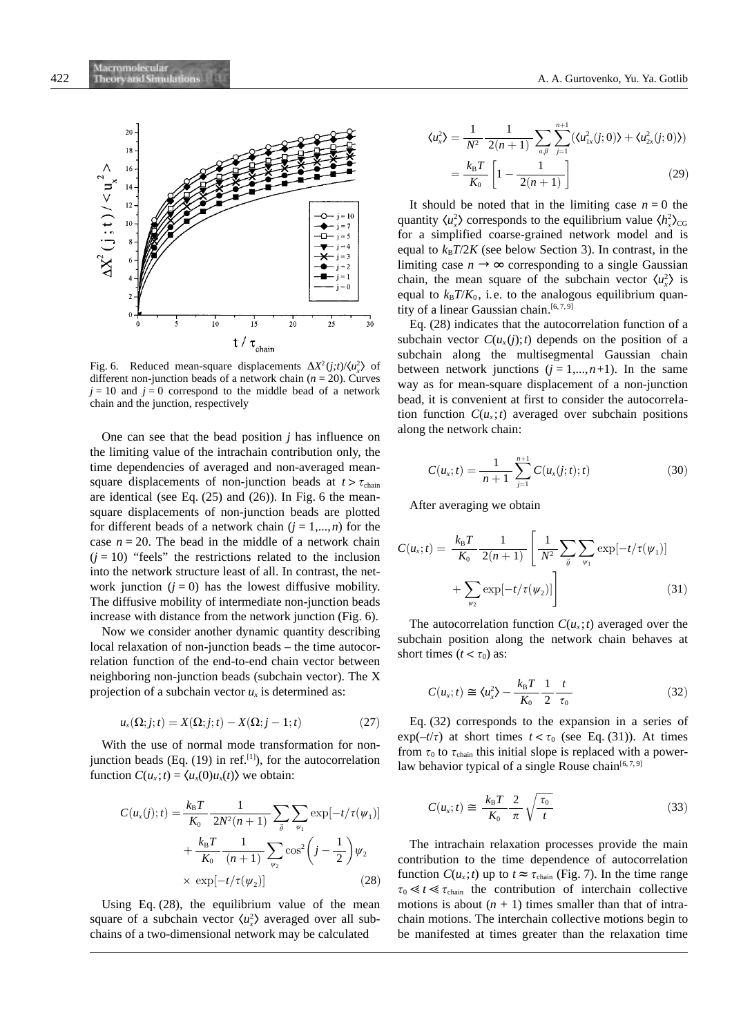

Fig. 6. Reduced mean-square displacements  $\Delta X^2(j;t)/\langle u_x^2 \rangle$  of different non-junction beads of a network chain (*n* = 20). Curves  $j = 10$  and  $j = 0$  correspond to the middle bead of a network chain and the junction, respectively

One can see that the bead position *j* has influence on the limiting value of the intrachain contribution only, the time dependencies of averaged and non-averaged meansquare displacements of non-junction beads at  $t > \tau_{chain}$ are identical (see Eq. (25) and (26)). In Fig. 6 the meansquare displacements of non-junction beads are plotted for different beads of a network chain  $(j = 1,...,n)$  for the case  $n = 20$ . The bead in the middle of a network chain  $(j = 10)$  "feels" the restrictions related to the inclusion into the network structure least of all. In contrast, the network junction  $(i = 0)$  has the lowest diffusive mobility. The diffusive mobility of intermediate non-junction beads increase with distance from the network junction (Fig. 6).

Now we consider another dynamic quantity describing local relaxation of non-junction beads – the time autocorrelation function of the end-to-end chain vector between neighboring non-junction beads (subchain vector). The X projection of a subchain vector  $u_x$  is determined as:

$$
u_x(\Omega;j;t) = X(\Omega;j;t) - X(\Omega;j-1;t)
$$
\n(27)

With the use of normal mode transformation for nonjunction beads (Eq.  $(19)$  in ref.<sup>[1]</sup>), for the autocorrelation function  $C(u_x; t) = \langle u_x(0)u_x(t) \rangle$  we obtain:

$$
C(u_x(j);t) = \frac{k_B T}{K_0} \frac{1}{2N^2(n+1)} \sum_{\vec{\theta}} \sum_{\psi_1} \exp[-t/\tau(\psi_1)] + \frac{k_B T}{K_0} \frac{1}{(n+1)} \sum_{\psi_2} \cos^2\left(j - \frac{1}{2}\right) \psi_2
$$
  
× exp[-t/\tau(\psi\_2)] (28)

Using Eq. (28), the equilibrium value of the mean square of a subchain vector  $\langle u_x^2 \rangle$  averaged over all subchains of a two-dimensional network may be calculated

$$
\langle u_x^2 \rangle = \frac{1}{N^2} \frac{1}{2(n+1)} \sum_{a,\beta} \sum_{j=1}^{n+1} (\langle u_{1x}^2(j;0) \rangle + \langle u_{2x}^2(j;0) \rangle)
$$
  
=  $\frac{k_B T}{K_0} \left[ 1 - \frac{1}{2(n+1)} \right]$  (29)

It should be noted that in the limiting case  $n = 0$  the quantity  $\langle u_x^2 \rangle$  corresponds to the equilibrium value  $\langle h_x^2 \rangle_{CG}$ for a simplified coarse-grained network model and is equal to  $k_B T/2K$  (see below Section 3). In contrast, in the limiting case  $n \to \infty$  corresponding to a single Gaussian chain, the mean square of the subchain vector  $\langle u_x^2 \rangle$  is equal to  $k_B T/K_0$ , i.e. to the analogous equilibrium quantity of a linear Gaussian chain.<sup>[6,7,9]</sup>

Eq. (28) indicates that the autocorrelation function of a subchain vector  $C(u_x(j);t)$  depends on the position of a subchain along the multisegmental Gaussian chain between network junctions  $(j = 1,...,n+1)$ . In the same way as for mean-square displacement of a non-junction bead, it is convenient at first to consider the autocorrelation function  $C(u_x; t)$  averaged over subchain positions along the network chain:

$$
C(u_x;t) = \frac{1}{n+1} \sum_{j=1}^{n+1} C(u_x(j;t);t)
$$
 (30)

After averaging we obtain

$$
C(u_x;t) = \frac{k_B T}{K_0} \frac{1}{2(n+1)} \left[ \frac{1}{N^2} \sum_{\vec{\theta}} \sum_{\psi_1} \exp[-t/\tau(\psi_1)] + \sum_{\psi_2} \exp[-t/\tau(\psi_2)] \right]
$$
(31)

The autocorrelation function  $C(u_x; t)$  averaged over the subchain position along the network chain behaves at short times  $(t < \tau_0)$  as:

$$
C(u_x;t) \cong \langle u_x^2 \rangle - \frac{k_\text{B}T}{K_0} \frac{1}{2} \frac{t}{\tau_0}
$$
 (32)

Eq. (32) corresponds to the expansion in a series of  $\exp(-t/\tau)$  at short times  $t < \tau_0$  (see Eq. (31)). At times from  $\tau_0$  to  $\tau_{\text{chain}}$  this initial slope is replaced with a powerlaw behavior typical of a single Rouse chain<sup>[6, 7, 9]</sup>

$$
C(u_x;t) \cong \frac{k_{\rm B}T}{K_0} \frac{2}{\pi} \sqrt{\frac{\tau_0}{t}}
$$
\n(33)

The intrachain relaxation processes provide the main contribution to the time dependence of autocorrelation function  $C(u_x; t)$  up to  $t \approx \tau_{\text{chain}}$  (Fig. 7). In the time range  $\tau_0 \ll t \ll \tau_{\text{chain}}$  the contribution of interchain collective motions is about  $(n + 1)$  times smaller than that of intrachain motions. The interchain collective motions begin to be manifested at times greater than the relaxation time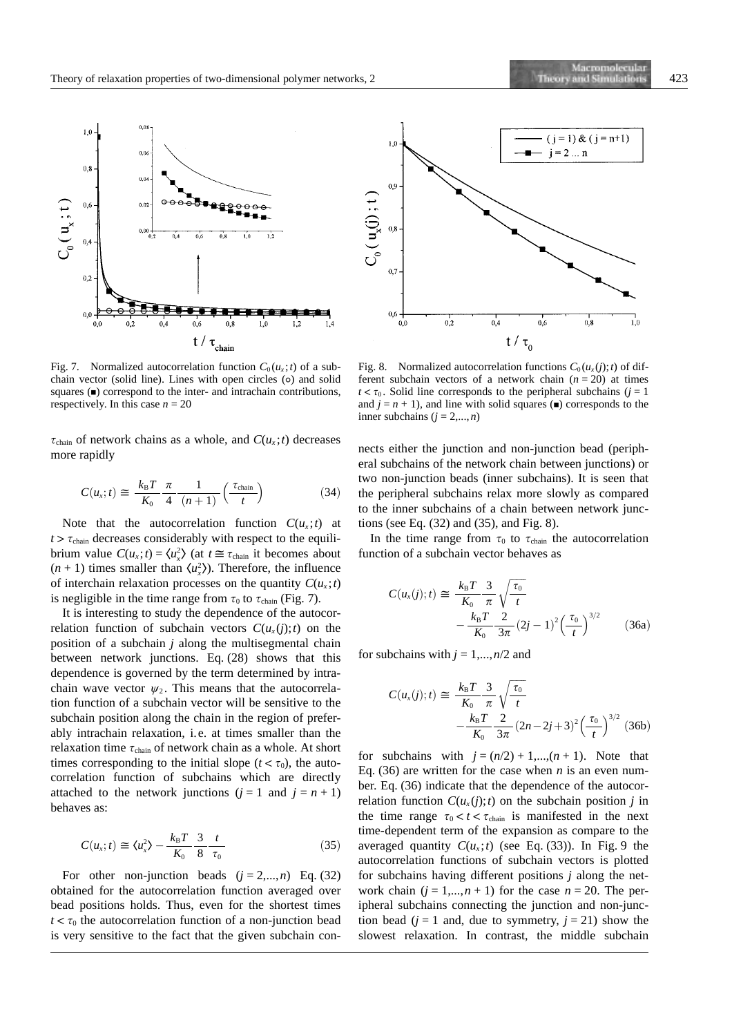

Fig. 7. Normalized autocorrelation function  $C_0(u_x; t)$  of a subchain vector (solid line). Lines with open circles (o) and solid squares  $(\blacksquare)$  correspond to the inter- and intrachain contributions, respectively. In this case  $n = 20$ 

 $\tau_{\text{chain}}$  of network chains as a whole, and  $C(u_x; t)$  decreases more rapidly

$$
C(u_x;t) \cong \frac{k_{\rm B}T}{K_0} \frac{\pi}{4} \frac{1}{(n+1)} \left(\frac{\tau_{\rm chain}}{t}\right) \tag{34}
$$

Note that the autocorrelation function  $C(u_x; t)$  at  $t > \tau_{\text{chain}}$  decreases considerably with respect to the equilibrium value  $C(u_x; t) = \langle u_x^2 \rangle$  (at  $t \approx \tau_{\text{chain}}$  it becomes about  $(n + 1)$  times smaller than  $\langle u_x^2 \rangle$ ). Therefore, the influence of interchain relaxation processes on the quantity  $C(u_x; t)$ is negligible in the time range from  $\tau_0$  to  $\tau_{\text{chain}}$  (Fig. 7).

It is interesting to study the dependence of the autocorrelation function of subchain vectors  $C(u<sub>x</sub>(i);t)$  on the position of a subchain *j* along the multisegmental chain between network junctions. Eq. (28) shows that this dependence is governed by the term determined by intrachain wave vector  $\psi_2$ . This means that the autocorrelation function of a subchain vector will be sensitive to the subchain position along the chain in the region of preferably intrachain relaxation, i.e. at times smaller than the relaxation time  $\tau_{chain}$  of network chain as a whole. At short times corresponding to the initial slope ( $t < \tau_0$ ), the autocorrelation function of subchains which are directly attached to the network junctions  $(j = 1 \text{ and } j = n + 1)$ behaves as:

$$
C(u_x;t) \cong \langle u_x^2 \rangle - \frac{k_\text{B}T}{K_0} \frac{3}{8} \frac{t}{\tau_0} \tag{35}
$$

For other non-junction beads  $(j = 2,...,n)$  Eq. (32) obtained for the autocorrelation function averaged over bead positions holds. Thus, even for the shortest times  $t < \tau_0$  the autocorrelation function of a non-junction bead is very sensitive to the fact that the given subchain con-



Fig. 8. Normalized autocorrelation functions  $C_0(u_x(j);t)$  of different subchain vectors of a network chain  $(n = 20)$  at times  $t < \tau_0$ . Solid line corresponds to the peripheral subchains (*j* = 1 and  $j = n + 1$ ), and line with solid squares ( $\blacksquare$ ) corresponds to the inner subchains  $(j = 2,...,n)$ 

nects either the junction and non-junction bead (peripheral subchains of the network chain between junctions) or two non-junction beads (inner subchains). It is seen that the peripheral subchains relax more slowly as compared to the inner subchains of a chain between network junctions (see Eq. (32) and (35), and Fig. 8).

In the time range from  $\tau_0$  to  $\tau_{\text{chain}}$  the autocorrelation function of a subchain vector behaves as

$$
C(u_x(j); t) \cong \frac{k_{\rm B}T}{K_0} \frac{3}{\pi} \sqrt{\frac{\tau_0}{t}} - \frac{k_{\rm B}T}{K_0} \frac{2}{3\pi} (2j-1)^2 \left(\frac{\tau_0}{t}\right)^{3/2}
$$
 (36a)

for subchains with  $j = 1,...,n/2$  and

$$
C(u_x(j); t) \cong \frac{k_{\rm B}T}{K_0} \frac{3}{\pi} \sqrt{\frac{\tau_0}{t}} - \frac{k_{\rm B}T}{K_0} \frac{2}{3\pi} (2n - 2j + 3)^2 \left(\frac{\tau_0}{t}\right)^{3/2} (36b)
$$

for subchains with  $j = (n/2) + 1, \ldots, (n + 1)$ . Note that Eq. (36) are written for the case when *n* is an even number. Eq. (36) indicate that the dependence of the autocorrelation function  $C(u_x(j);t)$  on the subchain position *j* in the time range  $\tau_0 < t < \tau_{\text{chain}}$  is manifested in the next time-dependent term of the expansion as compare to the averaged quantity  $C(u_x; t)$  (see Eq. (33)). In Fig. 9 the autocorrelation functions of subchain vectors is plotted for subchains having different positions *j* along the network chain  $(j = 1,...,n + 1)$  for the case  $n = 20$ . The peripheral subchains connecting the junction and non-junction bead ( $j = 1$  and, due to symmetry,  $j = 21$ ) show the slowest relaxation. In contrast, the middle subchain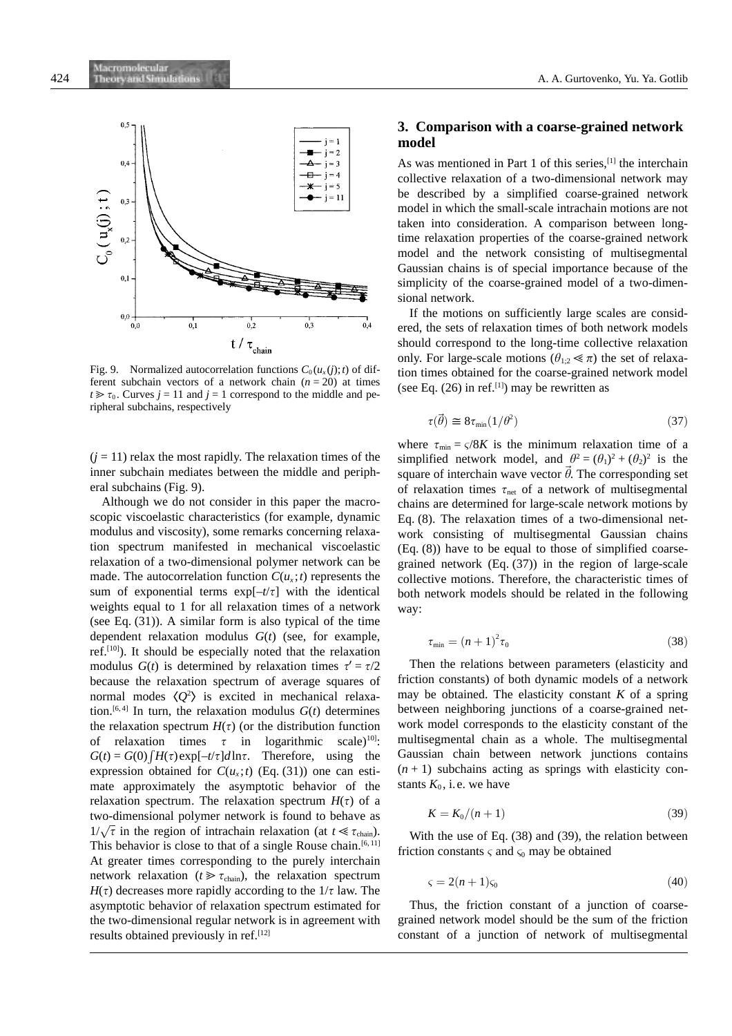

Fig. 9. Normalized autocorrelation functions  $C_0(u_x(i);t)$  of different subchain vectors of a network chain  $(n = 20)$  at times  $t \ge \tau_0$ . Curves  $j = 11$  and  $j = 1$  correspond to the middle and peripheral subchains, respectively

 $(j = 11)$  relax the most rapidly. The relaxation times of the inner subchain mediates between the middle and peripheral subchains (Fig. 9).

Although we do not consider in this paper the macroscopic viscoelastic characteristics (for example, dynamic modulus and viscosity), some remarks concerning relaxation spectrum manifested in mechanical viscoelastic relaxation of a two-dimensional polymer network can be made. The autocorrelation function  $C(u_x; t)$  represents the sum of exponential terms  $exp[-t/\tau]$  with the identical weights equal to 1 for all relaxation times of a network (see Eq. (31)). A similar form is also typical of the time dependent relaxation modulus *G*(*t*) (see, for example, ref.[10]). It should be especially noted that the relaxation modulus *G*(*t*) is determined by relaxation times  $\tau' = \tau/2$ because the relaxation spectrum of average squares of normal modes  $\langle Q^2 \rangle$  is excited in mechanical relaxation.<sup>[6, 4]</sup> In turn, the relaxation modulus  $G(t)$  determines the relaxation spectrum  $H(\tau)$  (or the distribution function of relaxation times  $\tau$  in logarithmic scale)<sup>10]</sup>:  $G(t) = G(0) \int H(\tau) \exp[-t/\tau] d\ln \tau$ . Therefore, using the expression obtained for  $C(u_x; t)$  (Eq. (31)) one can estimate approximately the asymptotic behavior of the relaxation spectrum. The relaxation spectrum  $H(\tau)$  of a two-dimensional polymer network is found to behave as  $1/\sqrt{\tau}$  in the region of intrachain relaxation (at  $t \ll \tau_{\text{chain}}$ ). This behavior is close to that of a single Rouse chain.<sup>[6, 11]</sup> At greater times corresponding to the purely interchain network relaxation ( $t \geq \tau_{\text{chain}}$ ), the relaxation spectrum  $H(\tau)$  decreases more rapidly according to the  $1/\tau$  law. The asymptotic behavior of relaxation spectrum estimated for the two-dimensional regular network is in agreement with results obtained previously in ref.<sup>[12]</sup>

# **3. Comparison with a coarse-grained network model**

As was mentioned in Part 1 of this series,<sup>[1]</sup> the interchain collective relaxation of a two-dimensional network may be described by a simplified coarse-grained network model in which the small-scale intrachain motions are not taken into consideration. A comparison between longtime relaxation properties of the coarse-grained network model and the network consisting of multisegmental Gaussian chains is of special importance because of the simplicity of the coarse-grained model of a two-dimensional network.

If the motions on sufficiently large scales are considered, the sets of relaxation times of both network models should correspond to the long-time collective relaxation only. For large-scale motions ( $\theta_{1:2} \ll \pi$ ) the set of relaxation times obtained for the coarse-grained network model (see Eq.  $(26)$  in ref.<sup>[1]</sup>) may be rewritten as

$$
\tau(\vec{\theta}) \cong 8\tau_{\min}(1/\theta^2) \tag{37}
$$

where  $\tau_{\min} = \frac{\varsigma}{8K}$  is the minimum relaxation time of a simplified network model, and  $\theta^2 = (\theta_1)^2 + (\theta_2)^2$  is the square of interchain wave vector  $\vec{\theta}$ . The corresponding set of relaxation times  $\tau_{net}$  of a network of multisegmental chains are determined for large-scale network motions by Eq. (8). The relaxation times of a two-dimensional network consisting of multisegmental Gaussian chains (Eq. (8)) have to be equal to those of simplified coarsegrained network (Eq. (37)) in the region of large-scale collective motions. Therefore, the characteristic times of both network models should be related in the following way:

$$
\tau_{\min} = (n+1)^2 \tau_0 \tag{38}
$$

Then the relations between parameters (elasticity and friction constants) of both dynamic models of a network may be obtained. The elasticity constant *K* of a spring between neighboring junctions of a coarse-grained network model corresponds to the elasticity constant of the multisegmental chain as a whole. The multisegmental Gaussian chain between network junctions contains  $(n + 1)$  subchains acting as springs with elasticity constants  $K_0$ , i.e. we have

$$
K = K_0/(n+1) \tag{39}
$$

With the use of Eq. (38) and (39), the relation between friction constants  $\varsigma$  and  $\varsigma_0$  may be obtained

$$
\varsigma = 2(n+1)\varsigma_0 \tag{40}
$$

Thus, the friction constant of a junction of coarsegrained network model should be the sum of the friction constant of a junction of network of multisegmental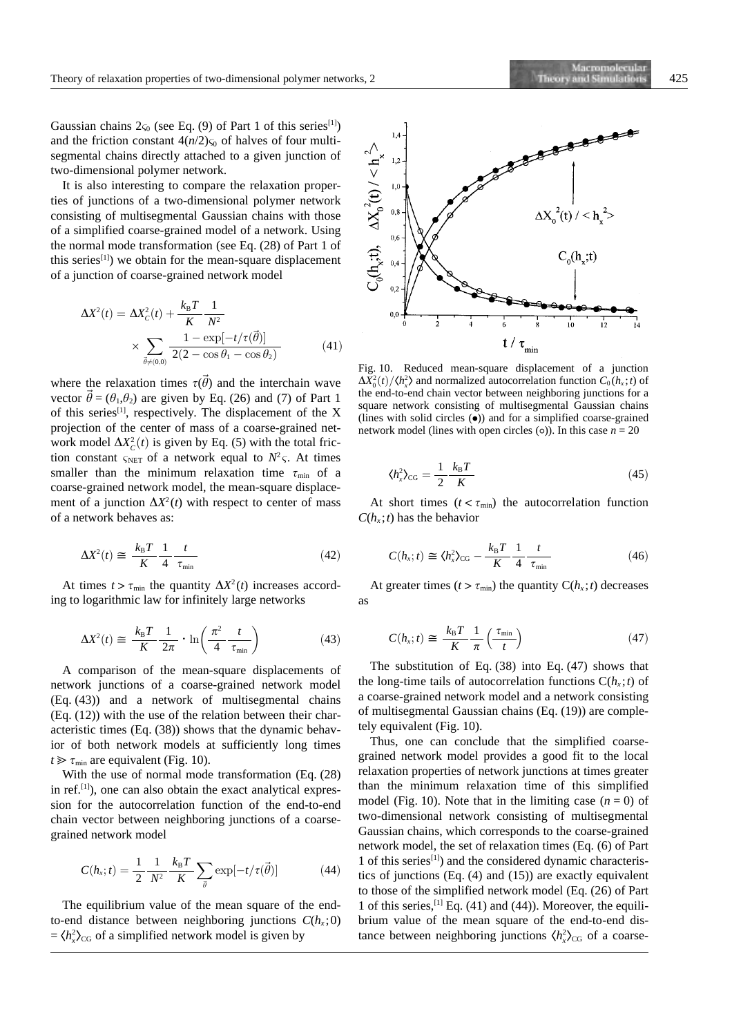Gaussian chains  $2\varsigma_0$  (see Eq. (9) of Part 1 of this series<sup>[1]</sup>) and the friction constant  $4(n/2)$ <sub>S0</sub> of halves of four multisegmental chains directly attached to a given junction of two-dimensional polymer network.

It is also interesting to compare the relaxation properties of junctions of a two-dimensional polymer network consisting of multisegmental Gaussian chains with those of a simplified coarse-grained model of a network. Using the normal mode transformation (see Eq. (28) of Part 1 of this series<sup>[1]</sup>) we obtain for the mean-square displacement of a junction of coarse-grained network model

$$
\Delta X^{2}(t) = \Delta X_{C}^{2}(t) + \frac{k_{B}T}{K} \frac{1}{N^{2}}
$$
  
 
$$
\times \sum_{\vec{\theta} \neq (0,0)} \frac{1 - \exp[-t/\tau(\vec{\theta})]}{2(2 - \cos \theta_{1} - \cos \theta_{2})}
$$
(41)

where the relaxation times  $\tau(\vec{\theta})$  and the interchain wave vector  $\vec{\theta} = (\theta_1, \theta_2)$  are given by Eq. (26) and (7) of Part 1 of this series<sup>[1]</sup>, respectively. The displacement of the X projection of the center of mass of a coarse-grained network model  $\Delta X_c^2(t)$  is given by Eq. (5) with the total friction constant  $\zeta_{\text{NET}}$  of a network equal to  $N^2 \zeta$ . At times smaller than the minimum relaxation time  $\tau_{\min}$  of a coarse-grained network model, the mean-square displacement of a junction  $\Delta X^2(t)$  with respect to center of mass of a network behaves as:

$$
\Delta X^2(t) \cong \frac{k_{\rm B}T}{K} \frac{1}{4} \frac{t}{\tau_{\rm min}} \tag{42}
$$

At times  $t > \tau_{\min}$  the quantity  $\Delta X^2(t)$  increases according to logarithmic law for infinitely large networks

$$
\Delta X^2(t) \cong \frac{k_{\rm B}T}{K} \frac{1}{2\pi} \cdot \ln\left(\frac{\pi^2}{4} \frac{t}{\tau_{\rm min}}\right) \tag{43}
$$

A comparison of the mean-square displacements of network junctions of a coarse-grained network model (Eq. (43)) and a network of multisegmental chains (Eq. (12)) with the use of the relation between their characteristic times (Eq. (38)) shows that the dynamic behavior of both network models at sufficiently long times  $t \geq \tau_{\min}$  are equivalent (Fig. 10).

With the use of normal mode transformation (Eq. (28) in ref.<sup>[1]</sup>), one can also obtain the exact analytical expression for the autocorrelation function of the end-to-end chain vector between neighboring junctions of a coarsegrained network model

$$
C(h_{x};t) = \frac{1}{2} \frac{1}{N^{2}} \frac{k_{B}T}{K} \sum_{\vec{\theta}} \exp[-t/\tau(\vec{\theta})]
$$
(44)

The equilibrium value of the mean square of the endto-end distance between neighboring junctions  $C(h<sub>x</sub>;0)$  $= \langle h_x^2 \rangle_{CG}$  of a simplified network model is given by

Fig. 10. Reduced mean-square displacement of a junction  $\Delta X_0^2(t) / \langle h_x^2 \rangle$  and normalized autocorrelation function  $C_0(h_x; t)$  of the end-to-end chain vector between neighboring junctions for a square network consisting of multisegmental Gaussian chains (lines with solid circles  $\left( \bullet \right)$ ) and for a simplified coarse-grained network model (lines with open circles ( $\circ$ )). In this case  $n = 20$ 

$$
\langle h_x^2 \rangle_{\text{CG}} = \frac{1}{2} \frac{k_\text{B} T}{K} \tag{45}
$$

At short times  $(t < \tau_{min})$  the autocorrelation function  $C(h_x; t)$  has the behavior

$$
C(h_x;t) \cong \langle h_x^2 \rangle_{\text{CG}} - \frac{k_{\text{B}}T}{K} \frac{1}{4} \frac{t}{\tau_{\min}} \tag{46}
$$

At greater times ( $t > \tau_{\text{min}}$ ) the quantity  $C(h_x; t)$  decreases as

$$
C(h_x; t) \cong \frac{k_{\rm B}T}{K} \frac{1}{\pi} \left(\frac{\tau_{\rm min}}{t}\right) \tag{47}
$$

The substitution of Eq. (38) into Eq. (47) shows that the long-time tails of autocorrelation functions  $C(h_x; t)$  of a coarse-grained network model and a network consisting of multisegmental Gaussian chains (Eq. (19)) are completely equivalent (Fig. 10).

Thus, one can conclude that the simplified coarsegrained network model provides a good fit to the local relaxation properties of network junctions at times greater than the minimum relaxation time of this simplified model (Fig. 10). Note that in the limiting case  $(n = 0)$  of two-dimensional network consisting of multisegmental Gaussian chains, which corresponds to the coarse-grained network model, the set of relaxation times (Eq. (6) of Part 1 of this series[1]) and the considered dynamic characteristics of junctions (Eq. (4) and (15)) are exactly equivalent to those of the simplified network model (Eq. (26) of Part 1 of this series,  $[1]$  Eq. (41) and (44)). Moreover, the equilibrium value of the mean square of the end-to-end distance between neighboring junctions  $\langle h_x^2 \rangle_{CG}$  of a coarse-

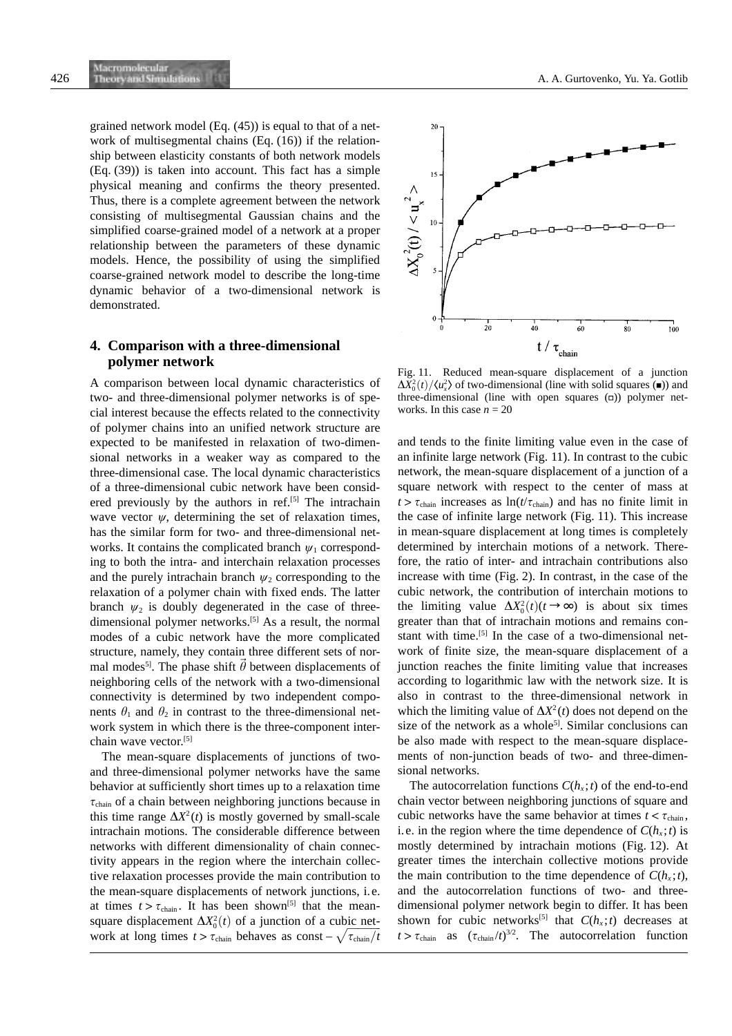grained network model (Eq. (45)) is equal to that of a network of multisegmental chains (Eq. (16)) if the relationship between elasticity constants of both network models (Eq. (39)) is taken into account. This fact has a simple physical meaning and confirms the theory presented. Thus, there is a complete agreement between the network consisting of multisegmental Gaussian chains and the simplified coarse-grained model of a network at a proper relationship between the parameters of these dynamic models. Hence, the possibility of using the simplified coarse-grained network model to describe the long-time dynamic behavior of a two-dimensional network is demonstrated.

# **4. Comparison with a three-dimensional polymer network**

A comparison between local dynamic characteristics of two- and three-dimensional polymer networks is of special interest because the effects related to the connectivity of polymer chains into an unified network structure are expected to be manifested in relaxation of two-dimensional networks in a weaker way as compared to the three-dimensional case. The local dynamic characteristics of a three-dimensional cubic network have been considered previously by the authors in ref.<sup>[5]</sup> The intrachain wave vector  $\psi$ , determining the set of relaxation times, has the similar form for two- and three-dimensional networks. It contains the complicated branch  $\psi_1$  corresponding to both the intra- and interchain relaxation processes and the purely intrachain branch  $\psi_2$  corresponding to the relaxation of a polymer chain with fixed ends. The latter branch  $\psi_2$  is doubly degenerated in the case of threedimensional polymer networks.<sup>[5]</sup> As a result, the normal modes of a cubic network have the more complicated structure, namely, they contain three different sets of normal modes<sup>51</sup>. The phase shift  $\vec{\theta}$  between displacements of neighboring cells of the network with a two-dimensional connectivity is determined by two independent components  $\theta_1$  and  $\theta_2$  in contrast to the three-dimensional network system in which there is the three-component interchain wave vector. [5]

The mean-square displacements of junctions of twoand three-dimensional polymer networks have the same behavior at sufficiently short times up to a relaxation time  $\tau_{\text{chain}}$  of a chain between neighboring junctions because in this time range  $\Delta X^2(t)$  is mostly governed by small-scale intrachain motions. The considerable difference between networks with different dimensionality of chain connectivity appears in the region where the interchain collective relaxation processes provide the main contribution to the mean-square displacements of network junctions, i.e. at times  $t > \tau_{chain}$ . It has been shown<sup>[5]</sup> that the meansquare displacement  $\Delta X_0^2(t)$  of a junction of a cubic network at long times  $t > \tau_{chain}$  behaves as const –  $\sqrt{\tau_{chain}/t}$ 



Fig. 11. Reduced mean-square displacement of a junction  $\Delta X_0^2(t)/\langle u_x^2 \rangle$  of two-dimensional (line with solid squares ( $\blacksquare$ )) and three-dimensional (line with open squares  $(a)$ ) polymer networks. In this case  $n = 20$ 

and tends to the finite limiting value even in the case of an infinite large network (Fig. 11). In contrast to the cubic network, the mean-square displacement of a junction of a square network with respect to the center of mass at  $t > \tau_{chain}$  increases as  $\ln(t/\tau_{chain})$  and has no finite limit in the case of infinite large network (Fig. 11). This increase in mean-square displacement at long times is completely determined by interchain motions of a network. Therefore, the ratio of inter- and intrachain contributions also increase with time (Fig. 2). In contrast, in the case of the cubic network, the contribution of interchain motions to the limiting value  $\Delta X_0^2(t)$  ( $t \to \infty$ ) is about six times greater than that of intrachain motions and remains constant with time.[5] In the case of a two-dimensional network of finite size, the mean-square displacement of a junction reaches the finite limiting value that increases according to logarithmic law with the network size. It is also in contrast to the three-dimensional network in which the limiting value of  $\Delta X^2(t)$  does not depend on the size of the network as a whole<sup>5]</sup>. Similar conclusions can be also made with respect to the mean-square displacements of non-junction beads of two- and three-dimensional networks.

The autocorrelation functions  $C(h_x; t)$  of the end-to-end chain vector between neighboring junctions of square and cubic networks have the same behavior at times  $t < \tau_{\text{chain}}$ , i.e. in the region where the time dependence of  $C(h<sub>x</sub>; t)$  is mostly determined by intrachain motions (Fig. 12). At greater times the interchain collective motions provide the main contribution to the time dependence of  $C(h_x; t)$ , and the autocorrelation functions of two- and threedimensional polymer network begin to differ. It has been shown for cubic networks<sup>[5]</sup> that  $C(h_x; t)$  decreases at  $t > \tau_{\text{chain}}$  as  $(\tau_{\text{chain}}/t)^{3/2}$ . The autocorrelation function